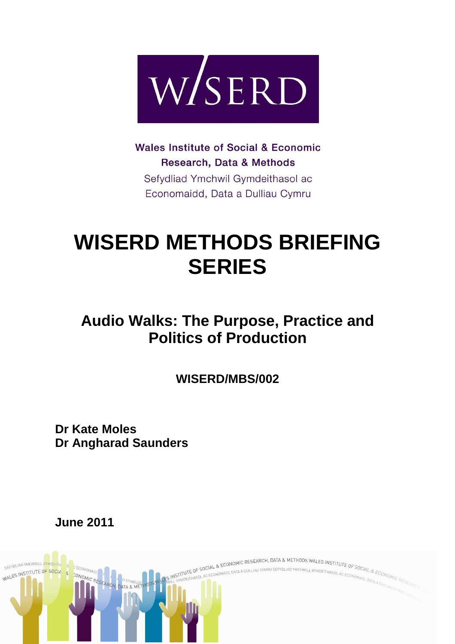

**Wales Institute of Social & Economic** Research, Data & Methods Sefydliad Ymchwil Gymdeithasol ac Economaidd, Data a Dulliau Cymru

# **WISERD METHODS BRIEFING SERIES**

# **Audio Walks: The Purpose, Practice and Politics of Production**

**WISERD/MBS/002** 

**Dr Kate Moles Dr Angharad Saunders** 

**June 2011**

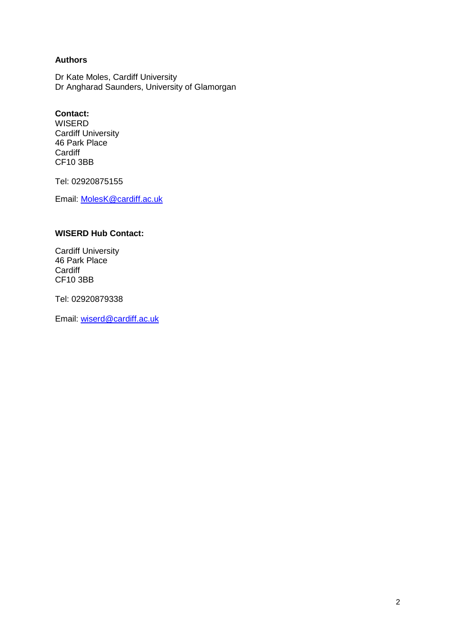# **Authors**

Dr Kate Moles, Cardiff University Dr Angharad Saunders, University of Glamorgan

## **Contact:**

WISERD Cardiff University 46 Park Place **Cardiff** CF10 3BB

Tel: 02920875155

Email: MolesK@cardiff.ac.uk

# **WISERD Hub Contact:**

Cardiff University 46 Park Place **Cardiff** CF10 3BB

Tel: 02920879338

Email: wiserd@cardiff.ac.uk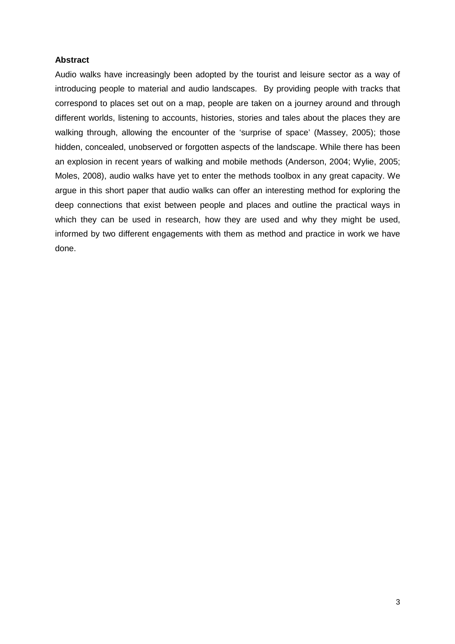### **Abstract**

Audio walks have increasingly been adopted by the tourist and leisure sector as a way of introducing people to material and audio landscapes. By providing people with tracks that correspond to places set out on a map, people are taken on a journey around and through different worlds, listening to accounts, histories, stories and tales about the places they are walking through, allowing the encounter of the 'surprise of space' (Massey, 2005); those hidden, concealed, unobserved or forgotten aspects of the landscape. While there has been an explosion in recent years of walking and mobile methods (Anderson, 2004; Wylie, 2005; Moles, 2008), audio walks have yet to enter the methods toolbox in any great capacity. We argue in this short paper that audio walks can offer an interesting method for exploring the deep connections that exist between people and places and outline the practical ways in which they can be used in research, how they are used and why they might be used, informed by two different engagements with them as method and practice in work we have done.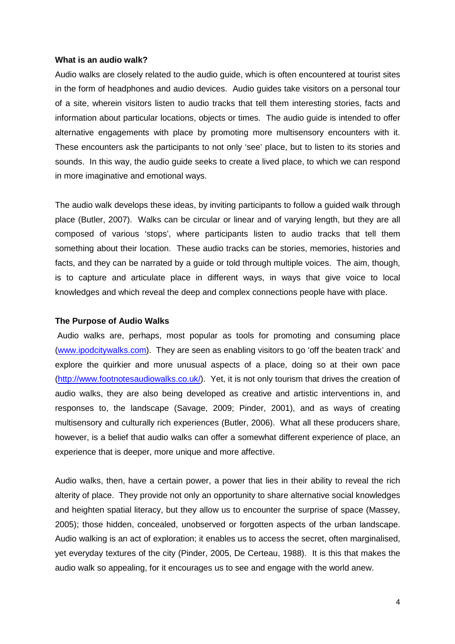#### **What is an audio walk?**

Audio walks are closely related to the audio guide, which is often encountered at tourist sites in the form of headphones and audio devices. Audio guides take visitors on a personal tour of a site, wherein visitors listen to audio tracks that tell them interesting stories, facts and information about particular locations, objects or times. The audio guide is intended to offer alternative engagements with place by promoting more multisensory encounters with it. These encounters ask the participants to not only 'see' place, but to listen to its stories and sounds. In this way, the audio guide seeks to create a lived place, to which we can respond in more imaginative and emotional ways.

The audio walk develops these ideas, by inviting participants to follow a guided walk through place (Butler, 2007). Walks can be circular or linear and of varying length, but they are all composed of various 'stops', where participants listen to audio tracks that tell them something about their location. These audio tracks can be stories, memories, histories and facts, and they can be narrated by a guide or told through multiple voices. The aim, though, is to capture and articulate place in different ways, in ways that give voice to local knowledges and which reveal the deep and complex connections people have with place.

### **The Purpose of Audio Walks**

 Audio walks are, perhaps, most popular as tools for promoting and consuming place (www.ipodcitywalks.com). They are seen as enabling visitors to go 'off the beaten track' and explore the quirkier and more unusual aspects of a place, doing so at their own pace (http://www.footnotesaudiowalks.co.uk/). Yet, it is not only tourism that drives the creation of audio walks, they are also being developed as creative and artistic interventions in, and responses to, the landscape (Savage, 2009; Pinder, 2001), and as ways of creating multisensory and culturally rich experiences (Butler, 2006). What all these producers share, however, is a belief that audio walks can offer a somewhat different experience of place, an experience that is deeper, more unique and more affective.

Audio walks, then, have a certain power, a power that lies in their ability to reveal the rich alterity of place. They provide not only an opportunity to share alternative social knowledges and heighten spatial literacy, but they allow us to encounter the surprise of space (Massey, 2005); those hidden, concealed, unobserved or forgotten aspects of the urban landscape. Audio walking is an act of exploration; it enables us to access the secret, often marginalised, yet everyday textures of the city (Pinder, 2005, De Certeau, 1988). It is this that makes the audio walk so appealing, for it encourages us to see and engage with the world anew.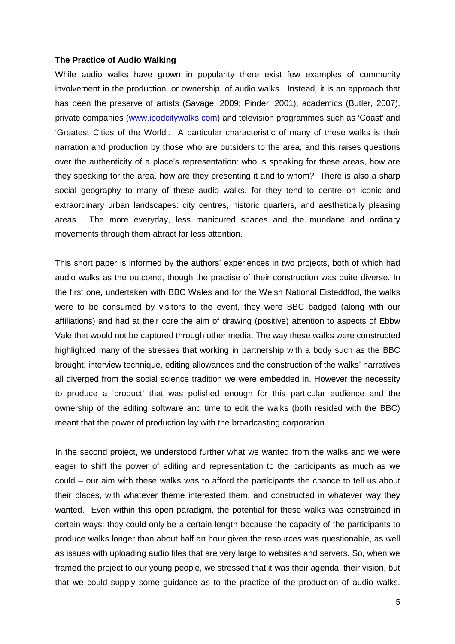#### **The Practice of Audio Walking**

While audio walks have grown in popularity there exist few examples of community involvement in the production, or ownership, of audio walks. Instead, it is an approach that has been the preserve of artists (Savage, 2009; Pinder, 2001), academics (Butler, 2007), private companies (www.ipodcitywalks.com) and television programmes such as 'Coast' and 'Greatest Cities of the World'. A particular characteristic of many of these walks is their narration and production by those who are outsiders to the area, and this raises questions over the authenticity of a place's representation: who is speaking for these areas, how are they speaking for the area, how are they presenting it and to whom? There is also a sharp social geography to many of these audio walks, for they tend to centre on iconic and extraordinary urban landscapes: city centres, historic quarters, and aesthetically pleasing areas. The more everyday, less manicured spaces and the mundane and ordinary movements through them attract far less attention.

This short paper is informed by the authors' experiences in two projects, both of which had audio walks as the outcome, though the practise of their construction was quite diverse. In the first one, undertaken with BBC Wales and for the Welsh National Eisteddfod, the walks were to be consumed by visitors to the event, they were BBC badged (along with our affiliations) and had at their core the aim of drawing (positive) attention to aspects of Ebbw Vale that would not be captured through other media. The way these walks were constructed highlighted many of the stresses that working in partnership with a body such as the BBC brought; interview technique, editing allowances and the construction of the walks' narratives all diverged from the social science tradition we were embedded in. However the necessity to produce a 'product' that was polished enough for this particular audience and the ownership of the editing software and time to edit the walks (both resided with the BBC) meant that the power of production lay with the broadcasting corporation.

In the second project, we understood further what we wanted from the walks and we were eager to shift the power of editing and representation to the participants as much as we could – our aim with these walks was to afford the participants the chance to tell us about their places, with whatever theme interested them, and constructed in whatever way they wanted. Even within this open paradigm, the potential for these walks was constrained in certain ways: they could only be a certain length because the capacity of the participants to produce walks longer than about half an hour given the resources was questionable, as well as issues with uploading audio files that are very large to websites and servers. So, when we framed the project to our young people, we stressed that it was their agenda, their vision, but that we could supply some guidance as to the practice of the production of audio walks.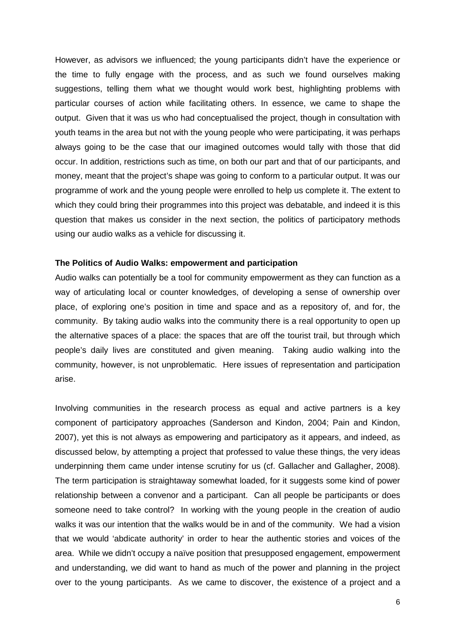However, as advisors we influenced; the young participants didn't have the experience or the time to fully engage with the process, and as such we found ourselves making suggestions, telling them what we thought would work best, highlighting problems with particular courses of action while facilitating others. In essence, we came to shape the output. Given that it was us who had conceptualised the project, though in consultation with youth teams in the area but not with the young people who were participating, it was perhaps always going to be the case that our imagined outcomes would tally with those that did occur. In addition, restrictions such as time, on both our part and that of our participants, and money, meant that the project's shape was going to conform to a particular output. It was our programme of work and the young people were enrolled to help us complete it. The extent to which they could bring their programmes into this project was debatable, and indeed it is this question that makes us consider in the next section, the politics of participatory methods using our audio walks as a vehicle for discussing it.

#### **The Politics of Audio Walks: empowerment and participation**

Audio walks can potentially be a tool for community empowerment as they can function as a way of articulating local or counter knowledges, of developing a sense of ownership over place, of exploring one's position in time and space and as a repository of, and for, the community. By taking audio walks into the community there is a real opportunity to open up the alternative spaces of a place: the spaces that are off the tourist trail, but through which people's daily lives are constituted and given meaning. Taking audio walking into the community, however, is not unproblematic. Here issues of representation and participation arise.

Involving communities in the research process as equal and active partners is a key component of participatory approaches (Sanderson and Kindon, 2004; Pain and Kindon, 2007), yet this is not always as empowering and participatory as it appears, and indeed, as discussed below, by attempting a project that professed to value these things, the very ideas underpinning them came under intense scrutiny for us (cf. Gallacher and Gallagher, 2008). The term participation is straightaway somewhat loaded, for it suggests some kind of power relationship between a convenor and a participant. Can all people be participants or does someone need to take control? In working with the young people in the creation of audio walks it was our intention that the walks would be in and of the community. We had a vision that we would 'abdicate authority' in order to hear the authentic stories and voices of the area. While we didn't occupy a naïve position that presupposed engagement, empowerment and understanding, we did want to hand as much of the power and planning in the project over to the young participants. As we came to discover, the existence of a project and a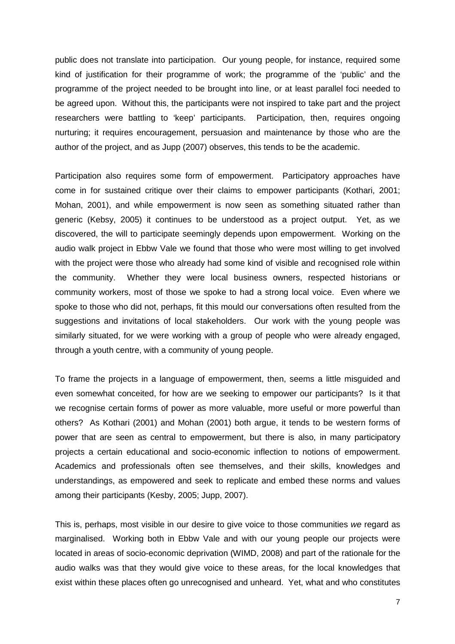public does not translate into participation. Our young people, for instance, required some kind of justification for their programme of work; the programme of the 'public' and the programme of the project needed to be brought into line, or at least parallel foci needed to be agreed upon. Without this, the participants were not inspired to take part and the project researchers were battling to 'keep' participants. Participation, then, requires ongoing nurturing; it requires encouragement, persuasion and maintenance by those who are the author of the project, and as Jupp (2007) observes, this tends to be the academic.

Participation also requires some form of empowerment. Participatory approaches have come in for sustained critique over their claims to empower participants (Kothari, 2001; Mohan, 2001), and while empowerment is now seen as something situated rather than generic (Kebsy, 2005) it continues to be understood as a project output. Yet, as we discovered, the will to participate seemingly depends upon empowerment. Working on the audio walk project in Ebbw Vale we found that those who were most willing to get involved with the project were those who already had some kind of visible and recognised role within the community. Whether they were local business owners, respected historians or community workers, most of those we spoke to had a strong local voice. Even where we spoke to those who did not, perhaps, fit this mould our conversations often resulted from the suggestions and invitations of local stakeholders. Our work with the young people was similarly situated, for we were working with a group of people who were already engaged, through a youth centre, with a community of young people.

To frame the projects in a language of empowerment, then, seems a little misguided and even somewhat conceited, for how are we seeking to empower our participants? Is it that we recognise certain forms of power as more valuable, more useful or more powerful than others? As Kothari (2001) and Mohan (2001) both argue, it tends to be western forms of power that are seen as central to empowerment, but there is also, in many participatory projects a certain educational and socio-economic inflection to notions of empowerment. Academics and professionals often see themselves, and their skills, knowledges and understandings, as empowered and seek to replicate and embed these norms and values among their participants (Kesby, 2005; Jupp, 2007).

This is, perhaps, most visible in our desire to give voice to those communities we regard as marginalised. Working both in Ebbw Vale and with our young people our projects were located in areas of socio-economic deprivation (WIMD, 2008) and part of the rationale for the audio walks was that they would give voice to these areas, for the local knowledges that exist within these places often go unrecognised and unheard. Yet, what and who constitutes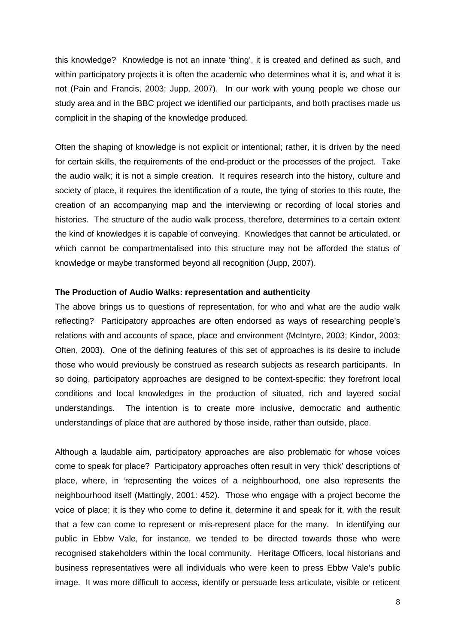this knowledge? Knowledge is not an innate 'thing', it is created and defined as such, and within participatory projects it is often the academic who determines what it is, and what it is not (Pain and Francis, 2003; Jupp, 2007). In our work with young people we chose our study area and in the BBC project we identified our participants, and both practises made us complicit in the shaping of the knowledge produced.

Often the shaping of knowledge is not explicit or intentional; rather, it is driven by the need for certain skills, the requirements of the end-product or the processes of the project. Take the audio walk; it is not a simple creation. It requires research into the history, culture and society of place, it requires the identification of a route, the tying of stories to this route, the creation of an accompanying map and the interviewing or recording of local stories and histories. The structure of the audio walk process, therefore, determines to a certain extent the kind of knowledges it is capable of conveying. Knowledges that cannot be articulated, or which cannot be compartmentalised into this structure may not be afforded the status of knowledge or maybe transformed beyond all recognition (Jupp, 2007).

#### **The Production of Audio Walks: representation and authenticity**

The above brings us to questions of representation, for who and what are the audio walk reflecting? Participatory approaches are often endorsed as ways of researching people's relations with and accounts of space, place and environment (McIntyre, 2003; Kindor, 2003; Often, 2003). One of the defining features of this set of approaches is its desire to include those who would previously be construed as research subjects as research participants. In so doing, participatory approaches are designed to be context-specific: they forefront local conditions and local knowledges in the production of situated, rich and layered social understandings. The intention is to create more inclusive, democratic and authentic understandings of place that are authored by those inside, rather than outside, place.

Although a laudable aim, participatory approaches are also problematic for whose voices come to speak for place? Participatory approaches often result in very 'thick' descriptions of place, where, in 'representing the voices of a neighbourhood, one also represents the neighbourhood itself (Mattingly, 2001: 452). Those who engage with a project become the voice of place; it is they who come to define it, determine it and speak for it, with the result that a few can come to represent or mis-represent place for the many. In identifying our public in Ebbw Vale, for instance, we tended to be directed towards those who were recognised stakeholders within the local community. Heritage Officers, local historians and business representatives were all individuals who were keen to press Ebbw Vale's public image. It was more difficult to access, identify or persuade less articulate, visible or reticent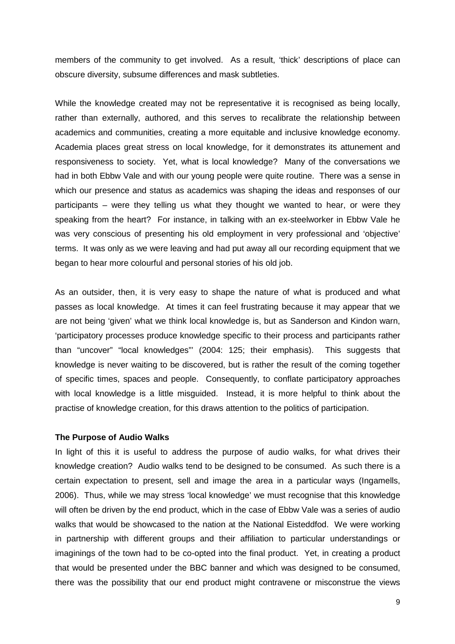members of the community to get involved. As a result, 'thick' descriptions of place can obscure diversity, subsume differences and mask subtleties.

While the knowledge created may not be representative it is recognised as being locally, rather than externally, authored, and this serves to recalibrate the relationship between academics and communities, creating a more equitable and inclusive knowledge economy. Academia places great stress on local knowledge, for it demonstrates its attunement and responsiveness to society. Yet, what is local knowledge? Many of the conversations we had in both Ebbw Vale and with our young people were quite routine. There was a sense in which our presence and status as academics was shaping the ideas and responses of our participants – were they telling us what they thought we wanted to hear, or were they speaking from the heart? For instance, in talking with an ex-steelworker in Ebbw Vale he was very conscious of presenting his old employment in very professional and 'objective' terms. It was only as we were leaving and had put away all our recording equipment that we began to hear more colourful and personal stories of his old job.

As an outsider, then, it is very easy to shape the nature of what is produced and what passes as local knowledge. At times it can feel frustrating because it may appear that we are not being 'given' what we think local knowledge is, but as Sanderson and Kindon warn, 'participatory processes produce knowledge specific to their process and participants rather than "uncover" "local knowledges"' (2004: 125; their emphasis). This suggests that knowledge is never waiting to be discovered, but is rather the result of the coming together of specific times, spaces and people. Consequently, to conflate participatory approaches with local knowledge is a little misguided. Instead, it is more helpful to think about the practise of knowledge creation, for this draws attention to the politics of participation.

#### **The Purpose of Audio Walks**

In light of this it is useful to address the purpose of audio walks, for what drives their knowledge creation? Audio walks tend to be designed to be consumed. As such there is a certain expectation to present, sell and image the area in a particular ways (Ingamells, 2006). Thus, while we may stress 'local knowledge' we must recognise that this knowledge will often be driven by the end product, which in the case of Ebbw Vale was a series of audio walks that would be showcased to the nation at the National Eisteddfod. We were working in partnership with different groups and their affiliation to particular understandings or imaginings of the town had to be co-opted into the final product. Yet, in creating a product that would be presented under the BBC banner and which was designed to be consumed, there was the possibility that our end product might contravene or misconstrue the views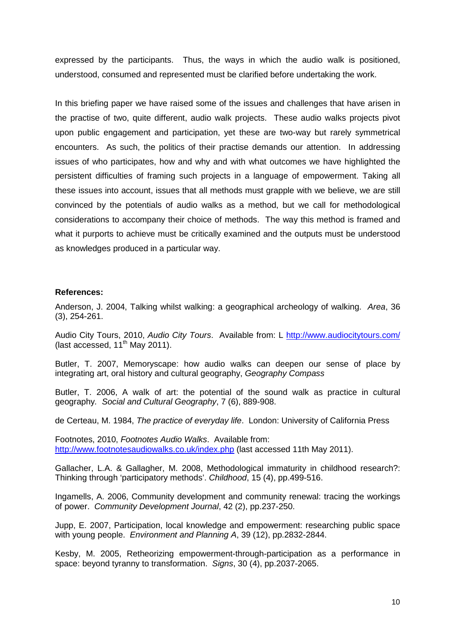expressed by the participants. Thus, the ways in which the audio walk is positioned, understood, consumed and represented must be clarified before undertaking the work.

In this briefing paper we have raised some of the issues and challenges that have arisen in the practise of two, quite different, audio walk projects. These audio walks projects pivot upon public engagement and participation, yet these are two-way but rarely symmetrical encounters. As such, the politics of their practise demands our attention. In addressing issues of who participates, how and why and with what outcomes we have highlighted the persistent difficulties of framing such projects in a language of empowerment. Taking all these issues into account, issues that all methods must grapple with we believe, we are still convinced by the potentials of audio walks as a method, but we call for methodological considerations to accompany their choice of methods. The way this method is framed and what it purports to achieve must be critically examined and the outputs must be understood as knowledges produced in a particular way.

### **References:**

Anderson, J. 2004, Talking whilst walking: a geographical archeology of walking. Area, 36 (3), 254-261.

Audio City Tours, 2010, Audio City Tours. Available from: L http://www.audiocitytours.com/ (last accessed,  $11<sup>th</sup>$  May 2011).

Butler, T. 2007, Memoryscape: how audio walks can deepen our sense of place by integrating art, oral history and cultural geography, Geography Compass

Butler, T. 2006, A walk of art: the potential of the sound walk as practice in cultural geography. Social and Cultural Geography, 7 (6), 889-908.

de Certeau, M. 1984, The practice of everyday life. London: University of California Press

Footnotes, 2010, Footnotes Audio Walks. Available from: http://www.footnotesaudiowalks.co.uk/index.php (last accessed 11th May 2011).

Gallacher, L.A. & Gallagher, M. 2008, Methodological immaturity in childhood research?: Thinking through 'participatory methods'. Childhood, 15 (4), pp.499-516.

Ingamells, A. 2006, Community development and community renewal: tracing the workings of power. Community Development Journal, 42 (2), pp.237-250.

Jupp, E. 2007, Participation, local knowledge and empowerment: researching public space with young people. Environment and Planning A, 39 (12), pp.2832-2844.

Kesby, M. 2005, Retheorizing empowerment-through-participation as a performance in space: beyond tyranny to transformation. Signs, 30 (4), pp.2037-2065.